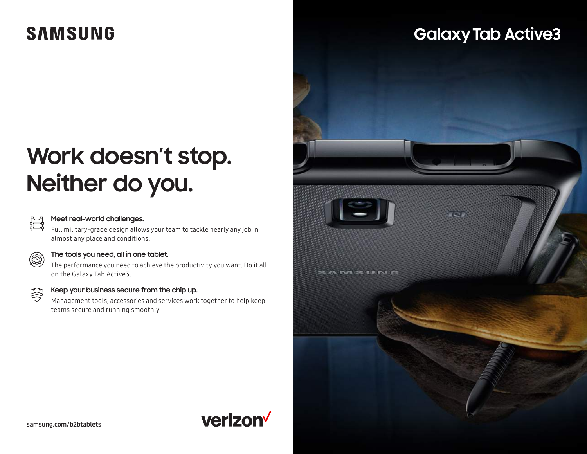# **SAMSUNG**

# **Galaxy Tab Active3**





(©)

#### **Meet real-world challenges.**

Full military-grade design allows your team to tackle nearly any job in almost any place and conditions.



The performance you need to achieve the productivity you want. Do it all on the Galaxy Tab Active3.



#### **Keep your business secure from the chip up.**

Management tools, accessories and services work together to help keep teams secure and running smoothly.

verizon<sup>V</sup>

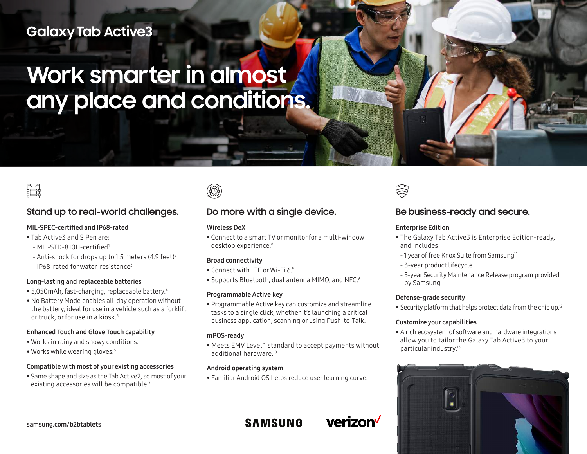## **Galaxy Tab Active3**

# **Work smarter in almost any place and conditions.**



### **Stand up to real-world challenges.**

#### MIL-SPEC-certified and IP68-rated

- Tab Active3 and S Pen are:
- MIL-STD-810H-certified<sup>1</sup>
- Anti-shock for drops up to 1.5 meters (4.9 feet)<sup>2</sup>
- $-$  IP68-rated for water-resistance<sup>3</sup>

#### Long-lasting and replaceable batteries

- 5,050mAh, fast-charging, replaceable battery.4
- No Battery Mode enables all-day operation without the battery, ideal for use in a vehicle such as a forklift or truck, or for use in a kiosk.<sup>5</sup>

#### Enhanced Touch and Glove Touch capability

- Works in rainy and snowy conditions.
- Works while wearing gloves.<sup>6</sup>

#### Compatible with most of your existing accessories

• Same shape and size as the Tab Active2, so most of your existing accessories will be compatible.<sup>7</sup>

(Ö)

## **Do more with a single device.**

#### Wireless DeX

• Connect to a smart TV or monitor for a multi-window desktop experience.<sup>8</sup>

#### Broad connectivity

- Connect with LTE or Wi-Fi 6.9
- Supports Bluetooth, dual antenna MIMO, and NFC.9

#### Programmable Active key

• Programmable Active key can customize and streamline tasks to a single click, whether it's launching a critical business application, scanning or using Push-to-Talk.

#### mPOS-ready

• Meets EMV Level 1 standard to accept payments without additional hardware.10

**verizon** 

#### Android operating system

• Familiar Android OS helps reduce user learning curve.

**SAMSUNG** 

零

### **Be business-ready and secure.**

#### Enterprise Edition

- The Galaxy Tab Active3 is Enterprise Edition-ready, and includes:
- 1 year of free Knox Suite from Samsung<sup>11</sup>
- 3-year product lifecycle
- 5-year Security Maintenance Release program provided by Samsung

#### Defense-grade security

• Security platform that helps protect data from the chip up.12

#### Customize your capabilities

• A rich ecosystem of software and hardware integrations allow you to tailor the Galaxy Tab Active3 to your particular industry.13

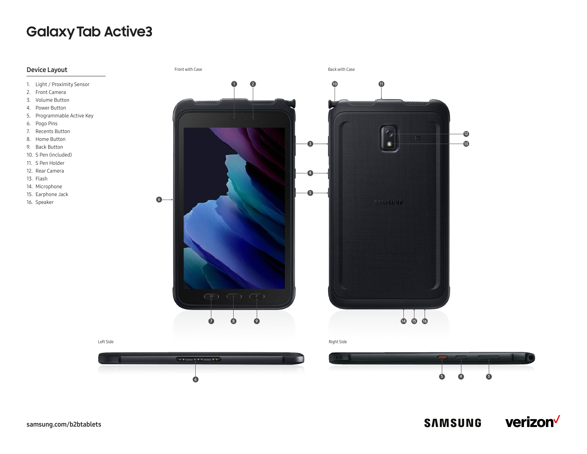## **Galaxy Tab Active3**



- 1. Light / Proximity Sensor
- 2. Front Camera
- 3. Volume Button
- 4. Power Button
- 5. Programmable Active Key
- 6. Pogo Pins
- 7. Recents Button
- 8. Home Button
- 9. Back Button
- 10. S Pen (included)
- 11. S Pen Holder
- 12. Rear Camera
- 13. Flash
- 14. Microphone
- 15. Earphone Jack
- 16. Speaker